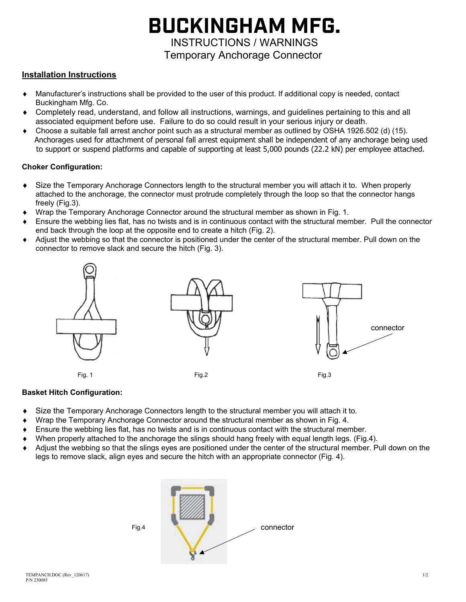# **BUCKINGHAM MFG.**  INSTRUCTIONS / WARNINGS

Temporary Anchorage Connector

## **Installation Instructions**

- Manufacturer's instructions shall be provided to the user of this product. If additional copy is needed, contact Buckingham Mfg. Co.
- Completely read, understand, and follow all instructions, warnings, and guidelines pertaining to this and all associated equipment before use. Failure to do so could result in your serious injury or death.
- Choose a suitable fall arrest anchor point such as a structural member as outlined by OSHA 1926.502 (d) (15). Anchorages used for attachment of personal fall arrest equipment shall be independent of any anchorage being used to support or suspend platforms and capable of supporting at least 5,000 pounds (22.2 kN) per employee attached.

### **Choker Configuration:**

- Size the Temporary Anchorage Connectors length to the structural member you will attach it to. When properly attached to the anchorage, the connector must protrude completely through the loop so that the connector hangs freely (Fig.3).
- Wrap the Temporary Anchorage Connector around the structural member as shown in Fig. 1.
- Ensure the webbing lies flat, has no twists and is in continuous contact with the structural member. Pull the connector end back through the loop at the opposite end to create a hitch (Fig. 2).
- Adjust the webbing so that the connector is positioned under the center of the structural member. Pull down on the connector to remove slack and secure the hitch (Fig. 3).



#### **Basket Hitch Configuration:**

- Size the Temporary Anchorage Connectors length to the structural member you will attach it to.
- Wrap the Temporary Anchorage Connector around the structural member as shown in Fig. 4.
- Ensure the webbing lies flat, has no twists and is in continuous contact with the structural member.
- When properly attached to the anchorage the slings should hang freely with equal length legs. (Fig.4).
- Adjust the webbing so that the slings eyes are positioned under the center of the structural member. Pull down on the legs to remove slack, align eyes and secure the hitch with an appropriate connector (Fig. 4).